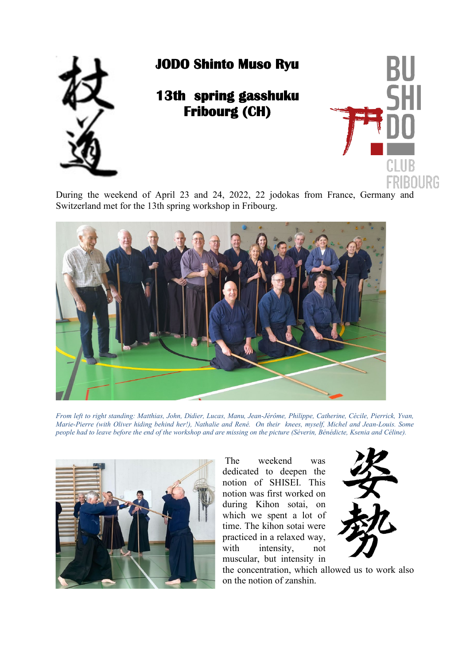

## **JODO Shinto Muso Ryu**

## **13th spring gasshuku Fribourg (CH)**



During the weekend of April 23 and 24, 2022, 22 jodokas from France, Germany and Switzerland met for the 13th spring workshop in Fribourg.



*From left to right standing: Matthias, John, Didier, Lucas, Manu, Jean-Jérôme, Philippe, Catherine, Cécile, Pierrick, Yvan, Marie-Pierre (with Oliver hiding behind her!), Nathalie and René. On their knees, myself, Michel and Jean-Louis. Some people had to leave before the end of the workshop and are missing on the picture (Séverin, Bénédicte, Ksenia and Céline).* 



The weekend was dedicated to deepen the notion of SHISEI. This notion was first worked on during Kihon sotai, on which we spent a lot of time. The kihon sotai were practiced in a relaxed way, with intensity, not muscular, but intensity in



the concentration, which allowed us to work also on the notion of zanshin.